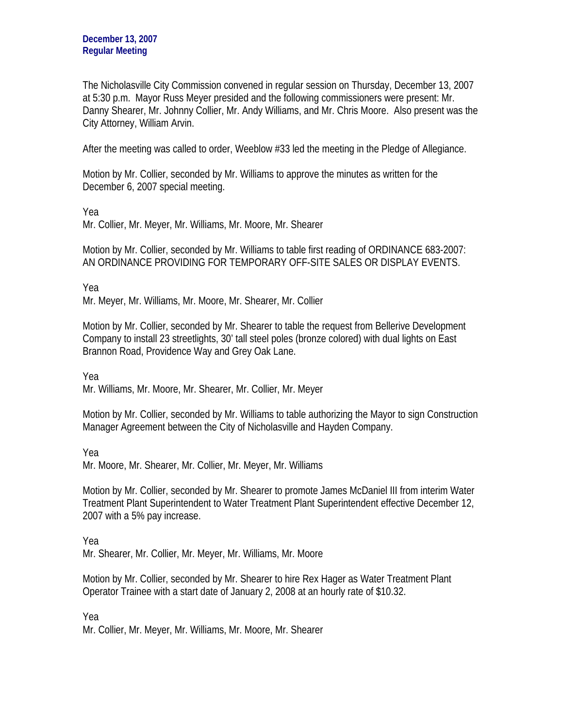The Nicholasville City Commission convened in regular session on Thursday, December 13, 2007 at 5:30 p.m. Mayor Russ Meyer presided and the following commissioners were present: Mr. Danny Shearer, Mr. Johnny Collier, Mr. Andy Williams, and Mr. Chris Moore. Also present was the City Attorney, William Arvin.

After the meeting was called to order, Weeblow #33 led the meeting in the Pledge of Allegiance.

Motion by Mr. Collier, seconded by Mr. Williams to approve the minutes as written for the December 6, 2007 special meeting.

Yea

Mr. Collier, Mr. Meyer, Mr. Williams, Mr. Moore, Mr. Shearer

Motion by Mr. Collier, seconded by Mr. Williams to table first reading of ORDINANCE 683-2007: AN ORDINANCE PROVIDING FOR TEMPORARY OFF-SITE SALES OR DISPLAY EVENTS.

Yea

Mr. Meyer, Mr. Williams, Mr. Moore, Mr. Shearer, Mr. Collier

Motion by Mr. Collier, seconded by Mr. Shearer to table the request from Bellerive Development Company to install 23 streetlights, 30' tall steel poles (bronze colored) with dual lights on East Brannon Road, Providence Way and Grey Oak Lane.

Yea

Mr. Williams, Mr. Moore, Mr. Shearer, Mr. Collier, Mr. Meyer

Motion by Mr. Collier, seconded by Mr. Williams to table authorizing the Mayor to sign Construction Manager Agreement between the City of Nicholasville and Hayden Company.

Yea

Mr. Moore, Mr. Shearer, Mr. Collier, Mr. Meyer, Mr. Williams

Motion by Mr. Collier, seconded by Mr. Shearer to promote James McDaniel III from interim Water Treatment Plant Superintendent to Water Treatment Plant Superintendent effective December 12, 2007 with a 5% pay increase.

Yea

Mr. Shearer, Mr. Collier, Mr. Meyer, Mr. Williams, Mr. Moore

Motion by Mr. Collier, seconded by Mr. Shearer to hire Rex Hager as Water Treatment Plant Operator Trainee with a start date of January 2, 2008 at an hourly rate of \$10.32.

Yea Mr. Collier, Mr. Meyer, Mr. Williams, Mr. Moore, Mr. Shearer